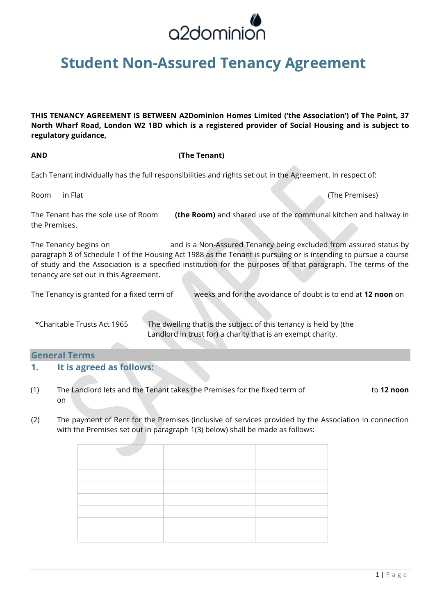

# **Student Non-Assured Tenancy Agreement**

**THIS TENANCY AGREEMENT IS BETWEEN A2Dominion Homes Limited ('the Association') of The Point, 37 North Wharf Road, London W2 1BD which is a registered provider of Social Housing and is subject to regulatory guidance,**

### **AND (The Tenant)**

Each Tenant individually has the full responsibilities and rights set out in the Agreement. In respect of:

Roomin Flat (The Premises)

The Tenant has the sole use of Room **(the Room)** and shared use of the communal kitchen and hallway in the Premises.

The Tenancy begins on and is a Non-Assured Tenancy being excluded from assured status by paragraph 8 of Schedule 1 of the Housing Act 1988 as the Tenant is pursuing or is intending to pursue a course of study and the Association is a specified institution for the purposes of that paragraph. The terms of the tenancy are set out in this Agreement.

The Tenancy is granted for a fixed term of weeks and for the avoidance of doubt is to end at **12 noon** on

\*Charitable Trusts Act 1965 The dwelling that is the subject of this tenancy is held by (the Landlord in trust for) a charity that is an exempt charity.

# **General Terms**

- **1. It is agreed as follows:**
- (1) The Landlord lets and the Tenant takes the Premises for the fixed term of to **12 noon** on
- (2) The payment of Rent for the Premises (inclusive of services provided by the Association in connection with the Premises set out in paragraph 1(3) below) shall be made as follows: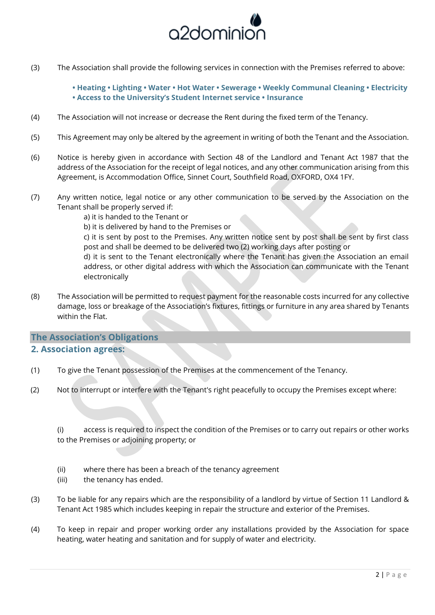

(3) The Association shall provide the following services in connection with the Premises referred to above:

**• Heating • Lighting • Water • Hot Water • Sewerage • Weekly Communal Cleaning • Electricity • Access to the University's Student Internet service • Insurance**

- (4) The Association will not increase or decrease the Rent during the fixed term of the Tenancy.
- (5) This Agreement may only be altered by the agreement in writing of both the Tenant and the Association.
- (6) Notice is hereby given in accordance with Section 48 of the Landlord and Tenant Act 1987 that the address of the Association for the receipt of legal notices, and any other communication arising from this Agreement, is Accommodation Office, Sinnet Court, Southfield Road, OXFORD, OX4 1FY.
- (7) Any written notice, legal notice or any other communication to be served by the Association on the Tenant shall be properly served if:

a) it is handed to the Tenant or b) it is delivered by hand to the Premises or c) it is sent by post to the Premises. Any written notice sent by post shall be sent by first class post and shall be deemed to be delivered two (2) working days after posting or d) it is sent to the Tenant electronically where the Tenant has given the Association an email address, or other digital address with which the Association can communicate with the Tenant electronically

(8) The Association will be permitted to request payment for the reasonable costs incurred for any collective damage, loss or breakage of the Association's fixtures, fittings or furniture in any area shared by Tenants within the Flat.

# **The Association's Obligations 2. Association agrees:**

- (1) To give the Tenant possession of the Premises at the commencement of the Tenancy.
- (2) Not to interrupt or interfere with the Tenant's right peacefully to occupy the Premises except where:

(i) access is required to inspect the condition of the Premises or to carry out repairs or other works to the Premises or adjoining property; or

- (ii) where there has been a breach of the tenancy agreement
- (iii) the tenancy has ended.
- (3) To be liable for any repairs which are the responsibility of a landlord by virtue of Section 11 Landlord & Tenant Act 1985 which includes keeping in repair the structure and exterior of the Premises.
- (4) To keep in repair and proper working order any installations provided by the Association for space heating, water heating and sanitation and for supply of water and electricity.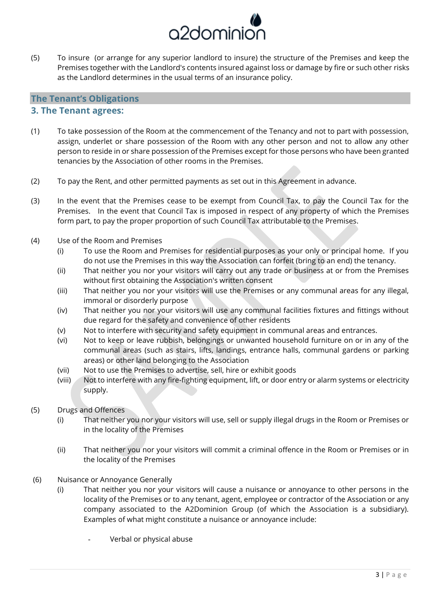

(5) To insure (or arrange for any superior landlord to insure) the structure of the Premises and keep the Premises together with the Landlord's contents insured against loss or damage by fire or such other risks as the Landlord determines in the usual terms of an insurance policy.

#### **The Tenant's Obligations**

#### **3. The Tenant agrees:**

- (1) To take possession of the Room at the commencement of the Tenancy and not to part with possession, assign, underlet or share possession of the Room with any other person and not to allow any other person to reside in or share possession of the Premises except for those persons who have been granted tenancies by the Association of other rooms in the Premises.
- (2) To pay the Rent, and other permitted payments as set out in this Agreement in advance.
- (3) In the event that the Premises cease to be exempt from Council Tax, to pay the Council Tax for the Premises. In the event that Council Tax is imposed in respect of any property of which the Premises form part, to pay the proper proportion of such Council Tax attributable to the Premises.
- (4) Use of the Room and Premises
	- (i) To use the Room and Premises for residential purposes as your only or principal home. If you do not use the Premises in this way the Association can forfeit (bring to an end) the tenancy.
	- (ii) That neither you nor your visitors will carry out any trade or business at or from the Premises without first obtaining the Association's written consent
	- (iii) That neither you nor your visitors will use the Premises or any communal areas for any illegal, immoral or disorderly purpose
	- (iv) That neither you nor your visitors will use any communal facilities fixtures and fittings without due regard for the safety and convenience of other residents
	- (v) Not to interfere with security and safety equipment in communal areas and entrances.
	- (vi) Not to keep or leave rubbish, belongings or unwanted household furniture on or in any of the communal areas (such as stairs, lifts, landings, entrance halls, communal gardens or parking areas) or other land belonging to the Association
	- (vii) Not to use the Premises to advertise, sell, hire or exhibit goods
	- (viii) Not to interfere with any fire-fighting equipment, lift, or door entry or alarm systems or electricity supply.
- (5) Drugs and Offences
	- (i) That neither you nor your visitors will use, sell or supply illegal drugs in the Room or Premises or in the locality of the Premises
	- (ii) That neither you nor your visitors will commit a criminal offence in the Room or Premises or in the locality of the Premises
- (6) Nuisance or Annoyance Generally
	- (i) That neither you nor your visitors will cause a nuisance or annoyance to other persons in the locality of the Premises or to any tenant, agent, employee or contractor of the Association or any company associated to the A2Dominion Group (of which the Association is a subsidiary). Examples of what might constitute a nuisance or annoyance include:
		- Verbal or physical abuse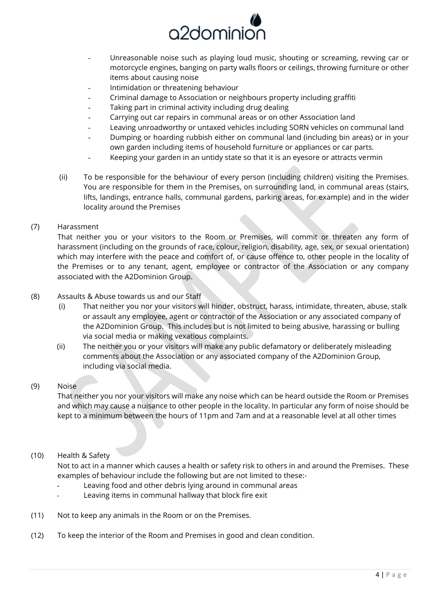

- Unreasonable noise such as playing loud music, shouting or screaming, revving car or motorcycle engines, banging on party walls floors or ceilings, throwing furniture or other items about causing noise
- Intimidation or threatening behaviour
- Criminal damage to Association or neighbours property including graffiti
- Taking part in criminal activity including drug dealing
- Carrying out car repairs in communal areas or on other Association land
- Leaving unroadworthy or untaxed vehicles including SORN vehicles on communal land
- Dumping or hoarding rubbish either on communal land (including bin areas) or in your own garden including items of household furniture or appliances or car parts.
- Keeping your garden in an untidy state so that it is an eyesore or attracts vermin
- (ii) To be responsible for the behaviour of every person (including children) visiting the Premises. You are responsible for them in the Premises, on surrounding land, in communal areas (stairs, lifts, landings, entrance halls, communal gardens, parking areas, for example) and in the wider locality around the Premises

#### (7) Harassment

That neither you or your visitors to the Room or Premises, will commit or threaten any form of harassment (including on the grounds of race, colour, religion, disability, age, sex, or sexual orientation) which may interfere with the peace and comfort of, or cause offence to, other people in the locality of the Premises or to any tenant, agent, employee or contractor of the Association or any company associated with the A2Dominion Group.

#### (8) Assaults & Abuse towards us and our Staff

- (i) That neither you nor your visitors will hinder, obstruct, harass, intimidate, threaten, abuse, stalk or assault any employee, agent or contractor of the Association or any associated company of the A2Dominion Group. This includes but is not limited to being abusive, harassing or bulling via social media or making vexatious complaints.
- (ii) The neither you or your visitors will make any public defamatory or deliberately misleading comments about the Association or any associated company of the A2Dominion Group, including via social media.

#### (9) Noise

That neither you nor your visitors will make any noise which can be heard outside the Room or Premises and which may cause a nuisance to other people in the locality. In particular any form of noise should be kept to a minimum between the hours of 11pm and 7am and at a reasonable level at all other times

#### (10) Health & Safety

Not to act in a manner which causes a health or safety risk to others in and around the Premises. These examples of behaviour include the following but are not limited to these:-

- Leaving food and other debris lying around in communal areas
- Leaving items in communal hallway that block fire exit
- (11) Not to keep any animals in the Room or on the Premises.
- (12) To keep the interior of the Room and Premises in good and clean condition.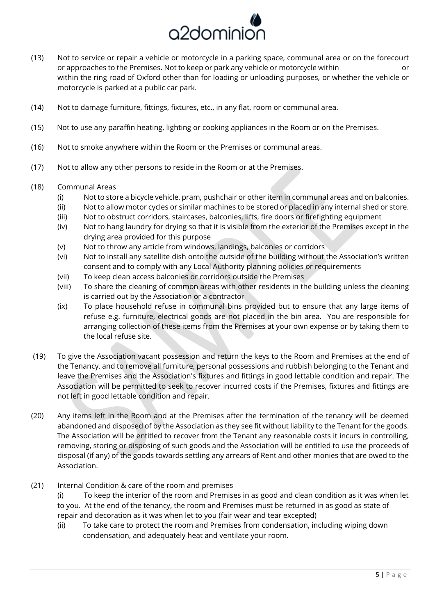

- (13) Not to service or repair a vehicle or motorcycle in a parking space, communal area or on the forecourt or approaches to the Premises. Not to keep or park any vehicle or motorcycle within or within the ring road of Oxford other than for loading or unloading purposes, or whether the vehicle or motorcycle is parked at a public car park.
- (14) Not to damage furniture, fittings, fixtures, etc., in any flat, room or communal area.
- (15) Not to use any paraffin heating, lighting or cooking appliances in the Room or on the Premises.
- (16) Not to smoke anywhere within the Room or the Premises or communal areas.
- (17) Not to allow any other persons to reside in the Room or at the Premises.
- (18) Communal Areas
	- (i) Not to store a bicycle vehicle, pram, pushchair or other item in communal areas and on balconies.
	- (ii) Not to allow motor cycles or similar machines to be stored or placed in any internal shed or store.
	- (iii) Not to obstruct corridors, staircases, balconies, lifts, fire doors or firefighting equipment
	- (iv) Not to hang laundry for drying so that it is visible from the exterior of the Premises except in the drying area provided for this purpose
	- (v) Not to throw any article from windows, landings, balconies or corridors
	- (vi) Not to install any satellite dish onto the outside of the building without the Association's written consent and to comply with any Local Authority planning policies or requirements
	- (vii) To keep clean access balconies or corridors outside the Premises
	- (viii) To share the cleaning of common areas with other residents in the building unless the cleaning is carried out by the Association or a contractor
	- (ix) To place household refuse in communal bins provided but to ensure that any large items of refuse e.g. furniture, electrical goods are not placed in the bin area. You are responsible for arranging collection of these items from the Premises at your own expense or by taking them to the local refuse site.
- (19) To give the Association vacant possession and return the keys to the Room and Premises at the end of the Tenancy, and to remove all furniture, personal possessions and rubbish belonging to the Tenant and leave the Premises and the Association's fixtures and fittings in good lettable condition and repair. The Association will be permitted to seek to recover incurred costs if the Premises, fixtures and fittings are not left in good lettable condition and repair.
- (20) Any items left in the Room and at the Premises after the termination of the tenancy will be deemed abandoned and disposed of by the Association as they see fit without liability to the Tenant for the goods. The Association will be entitled to recover from the Tenant any reasonable costs it incurs in controlling, removing, storing or disposing of such goods and the Association will be entitled to use the proceeds of disposal (if any) of the goods towards settling any arrears of Rent and other monies that are owed to the Association.
- (21) Internal Condition & care of the room and premises

(i) To keep the interior of the room and Premises in as good and clean condition as it was when let to you. At the end of the tenancy, the room and Premises must be returned in as good as state of repair and decoration as it was when let to you (fair wear and tear excepted)

(ii) To take care to protect the room and Premises from condensation, including wiping down condensation, and adequately heat and ventilate your room.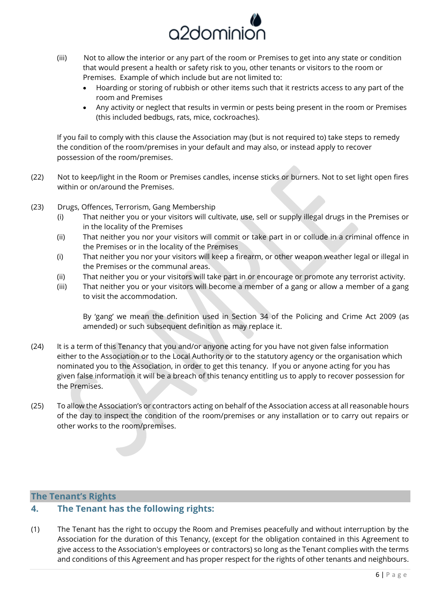

- (iii) Not to allow the interior or any part of the room or Premises to get into any state or condition that would present a health or safety risk to you, other tenants or visitors to the room or Premises. Example of which include but are not limited to:
	- Hoarding or storing of rubbish or other items such that it restricts access to any part of the room and Premises
	- Any activity or neglect that results in vermin or pests being present in the room or Premises (this included bedbugs, rats, mice, cockroaches).

If you fail to comply with this clause the Association may (but is not required to) take steps to remedy the condition of the room/premises in your default and may also, or instead apply to recover possession of the room/premises.

- (22) Not to keep/light in the Room or Premises candles, incense sticks or burners. Not to set light open fires within or on/around the Premises.
- (23) Drugs, Offences, Terrorism, Gang Membership
	- (i) That neither you or your visitors will cultivate, use, sell or supply illegal drugs in the Premises or in the locality of the Premises
	- (ii) That neither you nor your visitors will commit or take part in or collude in a criminal offence in the Premises or in the locality of the Premises
	- (i) That neither you nor your visitors will keep a firearm, or other weapon weather legal or illegal in the Premises or the communal areas.
	- (ii) That neither you or your visitors will take part in or encourage or promote any terrorist activity.
	- (iii) That neither you or your visitors will become a member of a gang or allow a member of a gang to visit the accommodation.

By 'gang' we mean the definition used in Section 34 of the Policing and Crime Act 2009 (as amended) or such subsequent definition as may replace it.

- (24) It is a term of this Tenancy that you and/or anyone acting for you have not given false information either to the Association or to the Local Authority or to the statutory agency or the organisation which nominated you to the Association, in order to get this tenancy. If you or anyone acting for you has given false information it will be a breach of this tenancy entitling us to apply to recover possession for the Premises.
- (25) To allow the Association's or contractors acting on behalf of the Association access at all reasonable hours of the day to inspect the condition of the room/premises or any installation or to carry out repairs or other works to the room/premises.

# **The Tenant's Rights**

# **4. The Tenant has the following rights:**

(1) The Tenant has the right to occupy the Room and Premises peacefully and without interruption by the Association for the duration of this Tenancy, (except for the obligation contained in this Agreement to give access to the Association's employees or contractors) so long as the Tenant complies with the terms and conditions of this Agreement and has proper respect for the rights of other tenants and neighbours.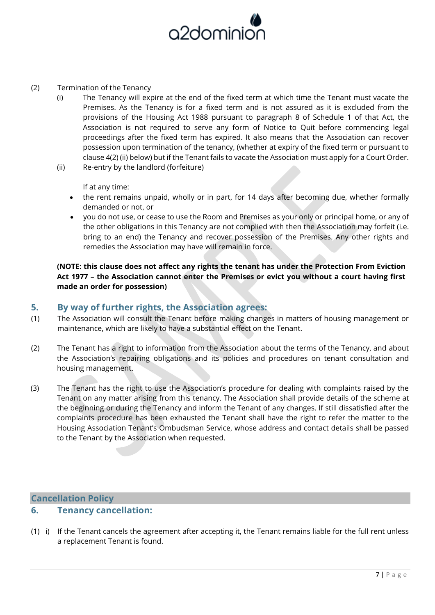

- (2) Termination of the Tenancy
	- (i) The Tenancy will expire at the end of the fixed term at which time the Tenant must vacate the Premises. As the Tenancy is for a fixed term and is not assured as it is excluded from the provisions of the Housing Act 1988 pursuant to paragraph 8 of Schedule 1 of that Act, the Association is not required to serve any form of Notice to Quit before commencing legal proceedings after the fixed term has expired. It also means that the Association can recover possession upon termination of the tenancy, (whether at expiry of the fixed term or pursuant to clause 4(2) (ii) below) but if the Tenant fails to vacate the Association must apply for a Court Order.
	- (ii) Re-entry by the landlord (forfeiture)

If at any time:

- the rent remains unpaid, wholly or in part, for 14 days after becoming due, whether formally demanded or not, or
- you do not use, or cease to use the Room and Premises as your only or principal home, or any of the other obligations in this Tenancy are not complied with then the Association may forfeit (i.e. bring to an end) the Tenancy and recover possession of the Premises. Any other rights and remedies the Association may have will remain in force.

**(NOTE: this clause does not affect any rights the tenant has under the Protection From Eviction Act 1977 – the Association cannot enter the Premises or evict you without a court having first made an order for possession)**

#### **5. By way of further rights, the Association agrees:**

- (1) The Association will consult the Tenant before making changes in matters of housing management or maintenance, which are likely to have a substantial effect on the Tenant.
- (2) The Tenant has a right to information from the Association about the terms of the Tenancy, and about the Association's repairing obligations and its policies and procedures on tenant consultation and housing management.
- (3) The Tenant has the right to use the Association's procedure for dealing with complaints raised by the Tenant on any matter arising from this tenancy. The Association shall provide details of the scheme at the beginning or during the Tenancy and inform the Tenant of any changes. If still dissatisfied after the complaints procedure has been exhausted the Tenant shall have the right to refer the matter to the Housing Association Tenant's Ombudsman Service, whose address and contact details shall be passed to the Tenant by the Association when requested.

# **Cancellation Policy**

#### **6. Tenancy cancellation:**

(1) i) If the Tenant cancels the agreement after accepting it, the Tenant remains liable for the full rent unless a replacement Tenant is found.